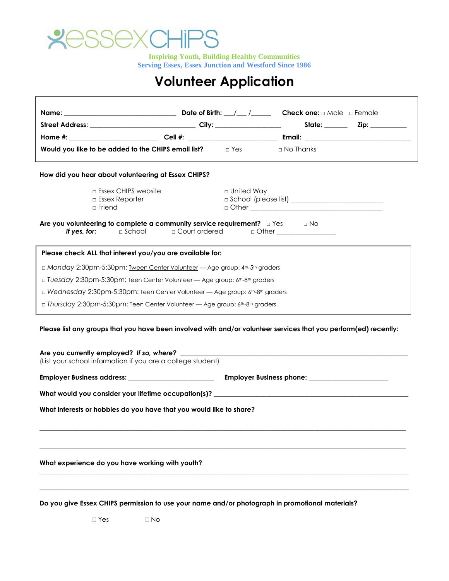

 $\overline{1}$ 

**Inspiring Youth, Building Healthy Communities Serving Essex, Essex Junction and Westford Since 1986**

## **Volunteer Application**

| Would you like to be added to the CHIPS email list? $\Box$ Yes                                                                                                                                                                      |              | $\Box$ No Thanks                                                                                                     |  |
|-------------------------------------------------------------------------------------------------------------------------------------------------------------------------------------------------------------------------------------|--------------|----------------------------------------------------------------------------------------------------------------------|--|
| How did you hear about volunteering at Essex CHIPS?                                                                                                                                                                                 |              |                                                                                                                      |  |
| $\Box$ Essex CHIPS website<br><b>Essex Reporter</b><br>□ Friend                                                                                                                                                                     | □ United Way |                                                                                                                      |  |
| Are you volunteering to complete a community service requirement? $\Box$ Yes $\Box$ No<br>If yes, for:<br>$\Box$ School                                                                                                             |              |                                                                                                                      |  |
| Please check ALL that interest you/you are available for:                                                                                                                                                                           |              |                                                                                                                      |  |
| □ Monday 2:30pm-5:30pm: Tween Center Volunteer — Age group: 4th-5th graders                                                                                                                                                         |              |                                                                                                                      |  |
| □ Tuesday 2:30pm-5:30pm: Teen Center Volunteer - Age group: 6th-8th graders                                                                                                                                                         |              |                                                                                                                      |  |
| □ Wednesday 2:30pm-5:30pm: Teen Center Volunteer — Age group: 6th-8th graders                                                                                                                                                       |              |                                                                                                                      |  |
| □ Thursday 2:30pm-5:30pm: <u>Teen Center Volunteer</u> — Age group: 6 <sup>th</sup> -8 <sup>th</sup> graders                                                                                                                        |              |                                                                                                                      |  |
| Please list any groups that you have been involved with and/or volunteer services that you perform(ed) recently:<br>Are you currently employed? If so, where? ______<br>(List your school information if you are a college student) |              | <u> 1989 - Johann Stein, marwolaethau a bhann an t-Amhair ann an t-Amhair an t-Amhair an t-Amhair an t-Amhair an</u> |  |
|                                                                                                                                                                                                                                     |              |                                                                                                                      |  |
|                                                                                                                                                                                                                                     |              |                                                                                                                      |  |
|                                                                                                                                                                                                                                     |              |                                                                                                                      |  |
| What interests or hobbies do you have that you would like to share?                                                                                                                                                                 |              |                                                                                                                      |  |
|                                                                                                                                                                                                                                     |              |                                                                                                                      |  |
|                                                                                                                                                                                                                                     |              |                                                                                                                      |  |
| What experience do you have working with youth?                                                                                                                                                                                     |              |                                                                                                                      |  |
|                                                                                                                                                                                                                                     |              |                                                                                                                      |  |
|                                                                                                                                                                                                                                     |              |                                                                                                                      |  |

**Do you give Essex CHIPS permission to use your name and/or photograph in promotional materials?**

□ Yes □ No